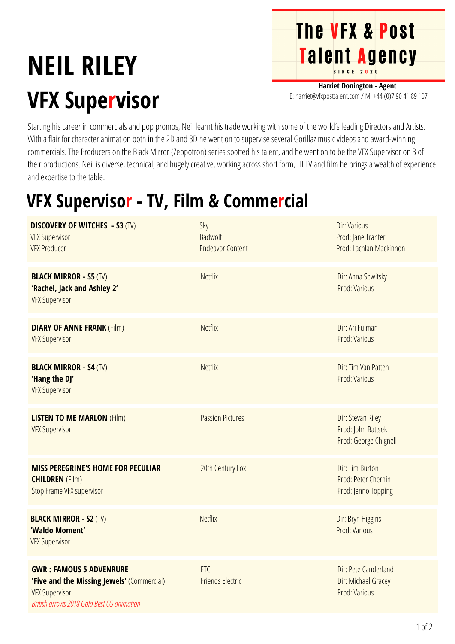## **NEIL RILEY VFX Supervisor**

**The VFX & Post** Talent Agency

**Harriet Donington - Agent** E: harriet@vfxposttalent.com / M:+44(0)7904189107

Starting his career in commercials and pop promos, Neil learnt his trade working with some of the world's leading Directors and Artists. With a flair for character animation both in the 2D and 3D he went on to supervise several Gorillaz music videos and award-winning commercials. The Producers on the Black Mirror (Zeppotron) series spotted his talent, and he went on to be the VFX Supervisor on 3 of their productions. Neil is diverse, technical, and hugely creative, working across short form, HETV and film he brings a wealth of experience and expertise to the table.

## **VFX Supervisor - TV, Film & Commercial**

| <b>DISCOVERY OF WITCHES - S3 (TV)</b><br><b>VFX Supervisor</b><br><b>VFX Producer</b>                                                               | Sky<br>Badwolf<br><b>Endeavor Content</b> | <b>Dir: Various</b><br>Prod: Jane Tranter<br>Prod: Lachlan Mackinnon |
|-----------------------------------------------------------------------------------------------------------------------------------------------------|-------------------------------------------|----------------------------------------------------------------------|
| <b>BLACK MIRROR - S5 (TV)</b><br>'Rachel, Jack and Ashley 2'<br><b>VFX Supervisor</b>                                                               | <b>Netflix</b>                            | Dir: Anna Sewitsky<br>Prod: Various                                  |
| <b>DIARY OF ANNE FRANK (Film)</b><br><b>VFX Supervisor</b>                                                                                          | <b>Netflix</b>                            | Dir: Ari Fulman<br>Prod: Various                                     |
| <b>BLACK MIRROR - S4 (TV)</b><br>'Hang the DJ'<br><b>VFX Supervisor</b>                                                                             | <b>Netflix</b>                            | Dir: Tim Van Patten<br>Prod: Various                                 |
| <b>LISTEN TO ME MARLON (Film)</b><br><b>VFX Supervisor</b>                                                                                          | <b>Passion Pictures</b>                   | Dir: Stevan Riley<br>Prod: John Battsek<br>Prod: George Chignell     |
| <b>MISS PEREGRINE'S HOME FOR PECULIAR</b><br><b>CHILDREN</b> (Film)<br>Stop Frame VFX supervisor                                                    | 20th Century Fox                          | Dir: Tim Burton<br>Prod: Peter Chernin<br>Prod: Jenno Topping        |
| <b>BLACK MIRROR - S2 (TV)</b><br>'Waldo Moment'<br><b>VFX Supervisor</b>                                                                            | <b>Netflix</b>                            | Dir: Bryn Higgins<br>Prod: Various                                   |
| <b>GWR: FAMOUS 5 ADVENRURE</b><br>'Five and the Missing Jewels' (Commercial)<br><b>VFX Supervisor</b><br>British arrows 2018 Gold Best CG animation | ETC<br><b>Friends Electric</b>            | Dir: Pete Canderland<br>Dir: Michael Gracey<br>Prod: Various         |